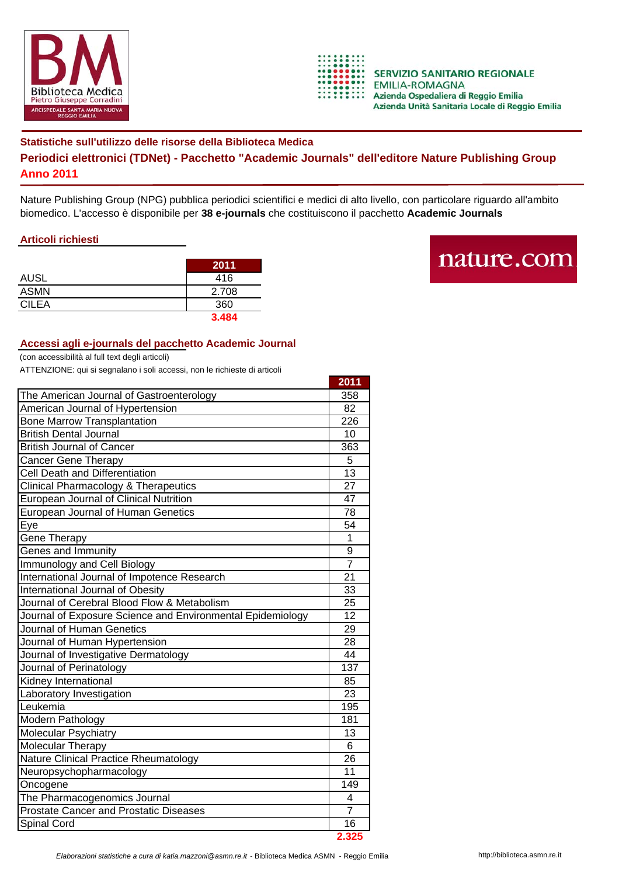



## **Statistiche sull'utilizzo delle risorse della Biblioteca Medica Periodici elettronici (TDNet) - Pacchetto "Academic Journals" dell'editore Nature Publishing Group Anno 2011**

Nature Publishing Group (NPG) pubblica periodici scientifici e medici di alto livello, con particolare riguardo all'ambito biomedico. L'accesso è disponibile per **38 e-journals** che costituiscono il pacchetto **Academic Journals**

## **Articoli richiesti**

|              | 2011  |
|--------------|-------|
| <b>AUSL</b>  | 416   |
| <b>ASMN</b>  | 2.708 |
| <b>CILEA</b> | 360   |
|              | 3.484 |

## nature.com

## **Accessi agli e-journals del pacchetto Academic Journal**

(con accessibilità al full text degli articoli)

ATTENZIONE: qui si segnalano i soli accessi, non le richieste di articoli

|                                                            | 2011             |
|------------------------------------------------------------|------------------|
| The American Journal of Gastroenterology                   | 358              |
| American Journal of Hypertension                           |                  |
| <b>Bone Marrow Transplantation</b>                         |                  |
| <b>British Dental Journal</b>                              |                  |
| <b>British Journal of Cancer</b>                           |                  |
| Cancer Gene Therapy                                        |                  |
| <b>Cell Death and Differentiation</b>                      |                  |
| <b>Clinical Pharmacology &amp; Therapeutics</b>            |                  |
| European Journal of Clinical Nutrition                     |                  |
| European Journal of Human Genetics                         |                  |
| Eye                                                        |                  |
| Gene Therapy                                               |                  |
| Genes and Immunity                                         |                  |
| Immunology and Cell Biology                                | $\overline{7}$   |
| International Journal of Impotence Research                |                  |
| International Journal of Obesity                           |                  |
| Journal of Cerebral Blood Flow & Metabolism                |                  |
| Journal of Exposure Science and Environmental Epidemiology |                  |
| Journal of Human Genetics                                  | 29               |
| Journal of Human Hypertension                              |                  |
| Journal of Investigative Dermatology                       |                  |
| Journal of Perinatology                                    | $\overline{137}$ |
| Kidney International                                       |                  |
| Laboratory Investigation                                   | 23               |
| Leukemia                                                   | 195              |
| Modern Pathology                                           | 181              |
| <b>Molecular Psychiatry</b>                                | 13               |
| Molecular Therapy                                          | 6<br>26          |
| <b>Nature Clinical Practice Rheumatology</b>               |                  |
| Neuropsychopharmacology                                    |                  |
| Oncogene                                                   | 149              |
| The Pharmacogenomics Journal                               |                  |
| <b>Prostate Cancer and Prostatic Diseases</b>              |                  |
| Spinal Cord                                                | 16               |
|                                                            | 2.325            |

*Elaborazioni statistiche a cura di katia.mazzoni@asmn.re.it* - Biblioteca Medica ASMN - Reggio Emilia http://biblioteca.asmn.re.it